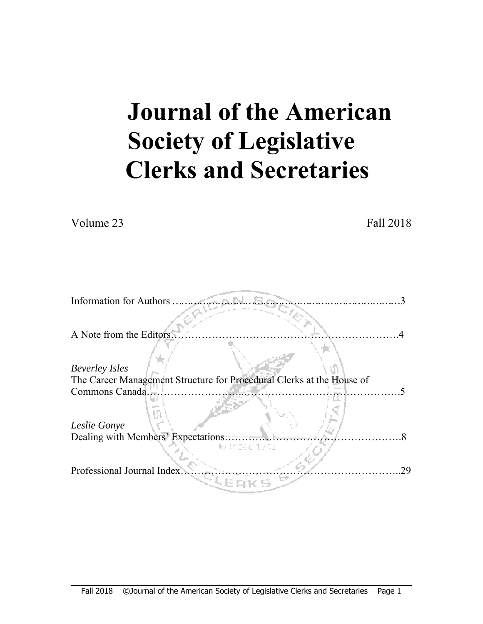# **Journal of the American Society of Legislative Clerks and Secretaries**

Volume 23 Fall 2018

| <b>Information for Authors</b>                                        |
|-----------------------------------------------------------------------|
|                                                                       |
| A Note from the Editors.                                              |
|                                                                       |
| <b>Beverley Isles</b>                                                 |
| The Career Management Structure for Procedural Clerks at the House of |
| Commons Canada.                                                       |
|                                                                       |
| Leslie Gonye                                                          |
| Dealing with Members' Expectations                                    |
| ka shoari 1933                                                        |
| Professional Journal Index<br>29                                      |
|                                                                       |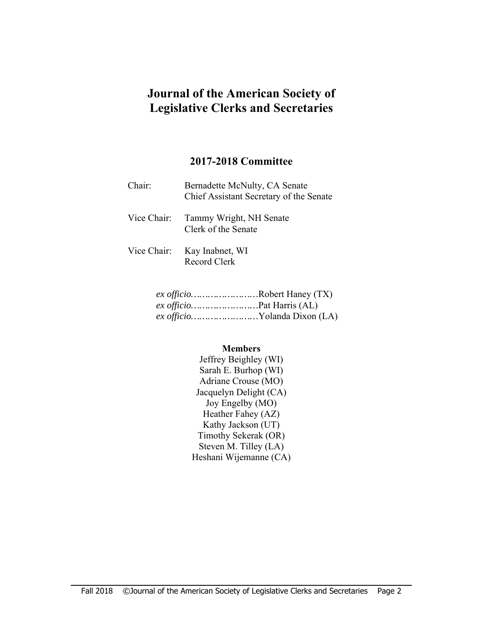# **Journal of the American Society of Legislative Clerks and Secretaries**

# **2017-2018 Committee**

| Chair: | Bernadette McNulty, CA Senate<br>Chief Assistant Secretary of the Senate |
|--------|--------------------------------------------------------------------------|
|        | Vice Chair: Tammy Wright, NH Senate<br>Clerk of the Senate               |
|        | Vice Chair: Kay Inabnet, WI<br>Record Clerk                              |

| <i>ex officio</i> Robert Haney (TX) |
|-------------------------------------|
| <i>ex officio</i> Pat Harris (AL)   |
| ex officioYolanda Dixon (LA)        |

#### **Members**

Jeffrey Beighley (WI) Sarah E. Burhop (WI) Adriane Crouse (MO) Jacquelyn Delight (CA) Joy Engelby (MO) Heather Fahey (AZ) Kathy Jackson (UT) Timothy Sekerak (OR) Steven M. Tilley (LA) Heshani Wijemanne (CA)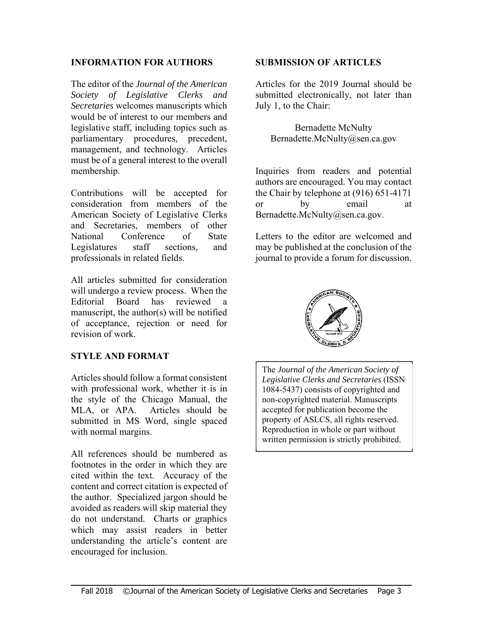#### **INFORMATION FOR AUTHORS**

The editor of the *Journal of the American Society of Legislative Clerks and Secretaries* welcomes manuscripts which would be of interest to our members and legislative staff, including topics such as parliamentary procedures, precedent, management, and technology. Articles must be of a general interest to the overall membership.

Contributions will be accepted for consideration from members of the American Society of Legislative Clerks and Secretaries, members of other National Conference of State Legislatures staff sections, and professionals in related fields.

All articles submitted for consideration will undergo a review process. When the Editorial Board has reviewed manuscript, the author(s) will be notified of acceptance, rejection or need for revision of work.

#### **STYLE AND FORMAT**

Articles should follow a format consistent with professional work, whether it is in the style of the Chicago Manual, the MLA, or APA. Articles should be submitted in MS Word, single spaced with normal margins.

All references should be numbered as footnotes in the order in which they are cited within the text. Accuracy of the content and correct citation is expected of the author. Specialized jargon should be avoided as readers will skip material they do not understand. Charts or graphics which may assist readers in better understanding the article's content are encouraged for inclusion.

#### **SUBMISSION OF ARTICLES**

Articles for the 2019 Journal should be submitted electronically, not later than July 1, to the Chair:

Bernadette McNulty Bernadette.McNulty@sen.ca.gov

Inquiries from readers and potential authors are encouraged. You may contact the Chair by telephone at (916) 651-4171 or by email at Bernadette.McNulty@sen.ca.gov.

Letters to the editor are welcomed and may be published at the conclusion of the journal to provide a forum for discussion.



The *Journal of the American Society of Legislative Clerks and Secretaries* (ISSN 1084-5437) consists of copyrighted and non-copyrighted material. Manuscripts accepted for publication become the property of ASLCS, all rights reserved. Reproduction in whole or part without written permission is strictly prohibited.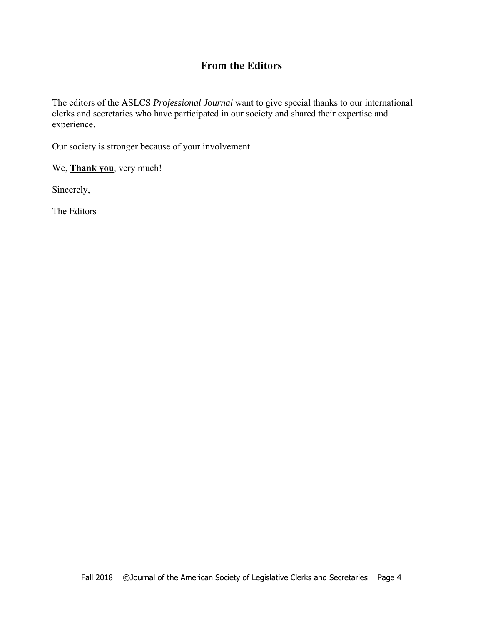# **From the Editors**

The editors of the ASLCS *Professional Journal* want to give special thanks to our international clerks and secretaries who have participated in our society and shared their expertise and experience.

Our society is stronger because of your involvement.

We, **Thank you**, very much!

Sincerely,

The Editors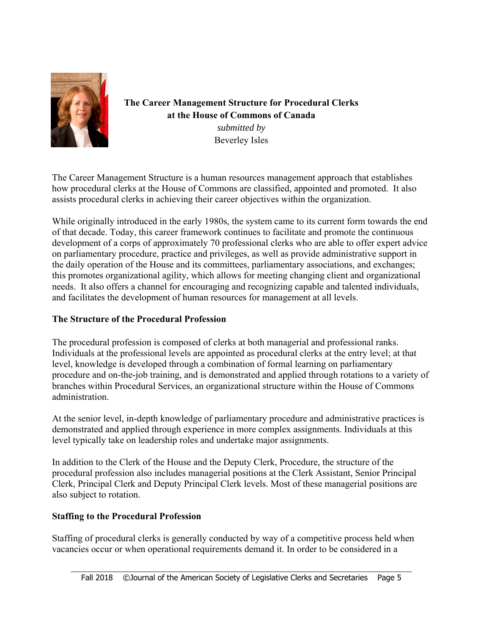

The Career Management Structure for Procedural Clerks at the House of Commons of Canada submitted by **Beverley Isles** 

The Career Management Structure is a human resources management approach that establishes how procedural clerks at the House of Commons are classified, appointed and promoted. It also assists procedural clerks in achieving their career objectives within the organization.

While originally introduced in the early 1980s, the system came to its current form towards the end of that decade. Today, this career framework continues to facilitate and promote the continuous development of a corps of approximately 70 professional clerks who are able to offer expert advice on parliamentary procedure, practice and privileges, as well as provide administrative support in the daily operation of the House and its committees, parliamentary associations, and exchanges; this promotes organizational agility, which allows for meeting changing client and organizational needs. It also offers a channel for encouraging and recognizing capable and talented individuals, and facilitates the development of human resources for management at all levels.

# The Structure of the Procedural Profession

The procedural profession is composed of clerks at both managerial and professional ranks. Individuals at the professional levels are appointed as procedural clerks at the entry level; at that level, knowledge is developed through a combination of formal learning on parliamentary procedure and on-the-job training, and is demonstrated and applied through rotations to a variety of branches within Procedural Services, an organizational structure within the House of Commons administration.

At the senior level, in-depth knowledge of parliamentary procedure and administrative practices is demonstrated and applied through experience in more complex assignments. Individuals at this level typically take on leadership roles and undertake major assignments.

In addition to the Clerk of the House and the Deputy Clerk, Procedure, the structure of the procedural profession also includes managerial positions at the Clerk Assistant, Senior Principal Clerk, Principal Clerk and Deputy Principal Clerk levels. Most of these managerial positions are also subject to rotation.

# **Staffing to the Procedural Profession**

Staffing of procedural clerks is generally conducted by way of a competitive process held when vacancies occur or when operational requirements demand it. In order to be considered in a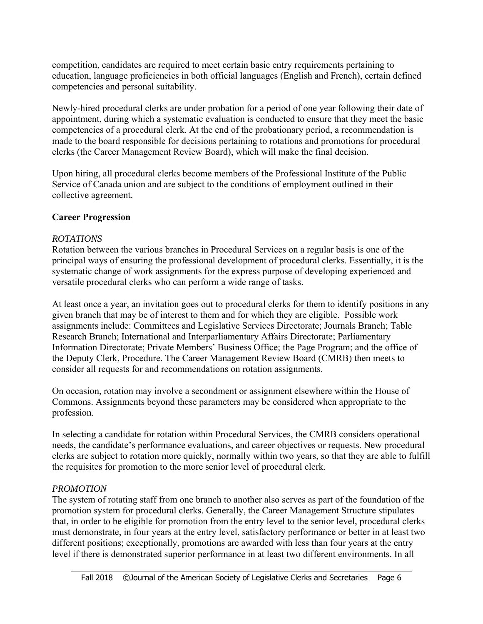competition, candidates are required to meet certain basic entry requirements pertaining to education, language proficiencies in both official languages (English and French), certain defined competencies and personal suitability.

Newly-hired procedural clerks are under probation for a period of one year following their date of appointment, during which a systematic evaluation is conducted to ensure that they meet the basic competencies of a procedural clerk. At the end of the probationary period, a recommendation is made to the board responsible for decisions pertaining to rotations and promotions for procedural clerks (the Career Management Review Board), which will make the final decision.

Upon hiring, all procedural clerks become members of the Professional Institute of the Public Service of Canada union and are subject to the conditions of employment outlined in their collective agreement.

#### **Career Progression**

#### *ROTATIONS*

Rotation between the various branches in Procedural Services on a regular basis is one of the principal ways of ensuring the professional development of procedural clerks. Essentially, it is the systematic change of work assignments for the express purpose of developing experienced and versatile procedural clerks who can perform a wide range of tasks.

At least once a year, an invitation goes out to procedural clerks for them to identify positions in any given branch that may be of interest to them and for which they are eligible. Possible work assignments include: Committees and Legislative Services Directorate; Journals Branch; Table Research Branch; International and Interparliamentary Affairs Directorate; Parliamentary Information Directorate; Private Members' Business Office; the Page Program; and the office of the Deputy Clerk, Procedure. The Career Management Review Board (CMRB) then meets to consider all requests for and recommendations on rotation assignments.

On occasion, rotation may involve a secondment or assignment elsewhere within the House of Commons. Assignments beyond these parameters may be considered when appropriate to the profession.

In selecting a candidate for rotation within Procedural Services, the CMRB considers operational needs, the candidate's performance evaluations, and career objectives or requests. New procedural clerks are subject to rotation more quickly, normally within two years, so that they are able to fulfill the requisites for promotion to the more senior level of procedural clerk.

#### *PROMOTION*

The system of rotating staff from one branch to another also serves as part of the foundation of the promotion system for procedural clerks. Generally, the Career Management Structure stipulates that, in order to be eligible for promotion from the entry level to the senior level, procedural clerks must demonstrate, in four years at the entry level, satisfactory performance or better in at least two different positions; exceptionally, promotions are awarded with less than four years at the entry level if there is demonstrated superior performance in at least two different environments. In all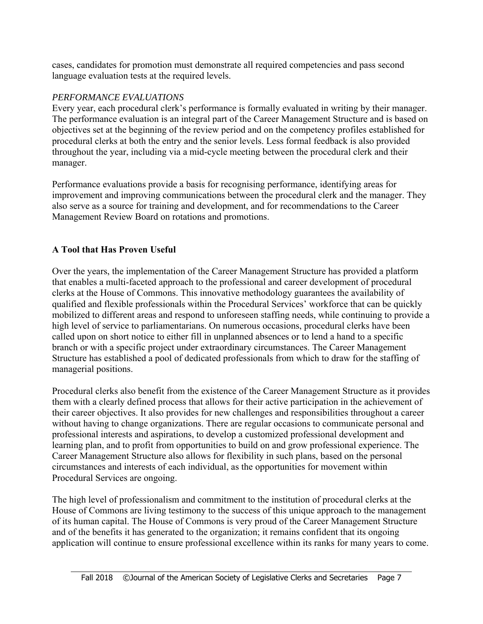cases, candidates for promotion must demonstrate all required competencies and pass second language evaluation tests at the required levels.

#### *PERFORMANCE EVALUATIONS*

Every year, each procedural clerk's performance is formally evaluated in writing by their manager. The performance evaluation is an integral part of the Career Management Structure and is based on objectives set at the beginning of the review period and on the competency profiles established for procedural clerks at both the entry and the senior levels. Less formal feedback is also provided throughout the year, including via a mid-cycle meeting between the procedural clerk and their manager.

Performance evaluations provide a basis for recognising performance, identifying areas for improvement and improving communications between the procedural clerk and the manager. They also serve as a source for training and development, and for recommendations to the Career Management Review Board on rotations and promotions.

# **A Tool that Has Proven Useful**

Over the years, the implementation of the Career Management Structure has provided a platform that enables a multi-faceted approach to the professional and career development of procedural clerks at the House of Commons. This innovative methodology guarantees the availability of qualified and flexible professionals within the Procedural Services' workforce that can be quickly mobilized to different areas and respond to unforeseen staffing needs, while continuing to provide a high level of service to parliamentarians. On numerous occasions, procedural clerks have been called upon on short notice to either fill in unplanned absences or to lend a hand to a specific branch or with a specific project under extraordinary circumstances. The Career Management Structure has established a pool of dedicated professionals from which to draw for the staffing of managerial positions.

Procedural clerks also benefit from the existence of the Career Management Structure as it provides them with a clearly defined process that allows for their active participation in the achievement of their career objectives. It also provides for new challenges and responsibilities throughout a career without having to change organizations. There are regular occasions to communicate personal and professional interests and aspirations, to develop a customized professional development and learning plan, and to profit from opportunities to build on and grow professional experience. The Career Management Structure also allows for flexibility in such plans, based on the personal circumstances and interests of each individual, as the opportunities for movement within Procedural Services are ongoing.

The high level of professionalism and commitment to the institution of procedural clerks at the House of Commons are living testimony to the success of this unique approach to the management of its human capital. The House of Commons is very proud of the Career Management Structure and of the benefits it has generated to the organization; it remains confident that its ongoing application will continue to ensure professional excellence within its ranks for many years to come.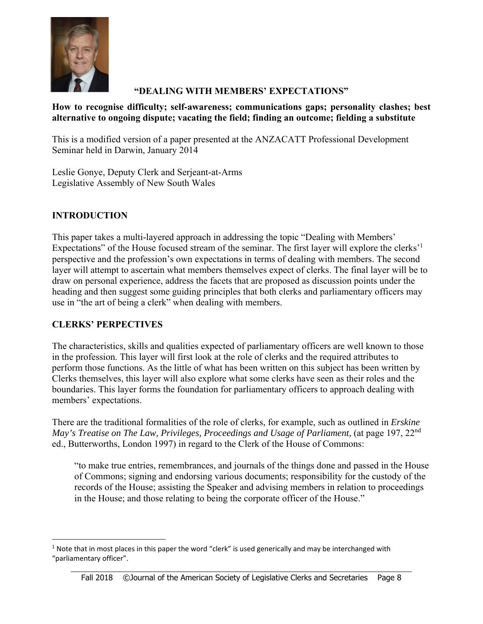

# "DEALING WITH MEMBERS' EXPECTATIONS"

#### How to recognise difficulty; self-awareness; communications gaps; personality clashes; best alternative to ongoing dispute; vacating the field; finding an outcome; fielding a substitute

This is a modified version of a paper presented at the ANZACATT Professional Development Seminar held in Darwin, January 2014

Leslie Gonye, Deputy Clerk and Serjeant-at-Arms Legislative Assembly of New South Wales

# **INTRODUCTION**

This paper takes a multi-layered approach in addressing the topic "Dealing with Members" Expectations" of the House focused stream of the seminar. The first layer will explore the clerks<sup>1</sup> perspective and the profession's own expectations in terms of dealing with members. The second layer will attempt to ascertain what members themselves expect of clerks. The final layer will be to draw on personal experience, address the facets that are proposed as discussion points under the heading and then suggest some guiding principles that both clerks and parliamentary officers may use in "the art of being a clerk" when dealing with members.

# **CLERKS' PERPECTIVES**

The characteristics, skills and qualities expected of parliamentary officers are well known to those in the profession. This layer will first look at the role of clerks and the required attributes to perform those functions. As the little of what has been written on this subject has been written by Clerks themselves, this layer will also explore what some clerks have seen as their roles and the boundaries. This layer forms the foundation for parliamentary officers to approach dealing with members' expectations.

There are the traditional formalities of the role of clerks, for example, such as outlined in *Erskine* May's Treatise on The Law, Privileges, Proceedings and Usage of Parliament, (at page 197, 22<sup>nd</sup> ed., Butterworths, London 1997) in regard to the Clerk of the House of Commons:

"to make true entries, remembrances, and journals of the things done and passed in the House of Commons; signing and endorsing various documents; responsibility for the custody of the records of the House; assisting the Speaker and advising members in relation to proceedings in the House; and those relating to being the corporate officer of the House."

 $1$  Note that in most places in this paper the word "clerk" is used generically and may be interchanged with "parliamentary officer".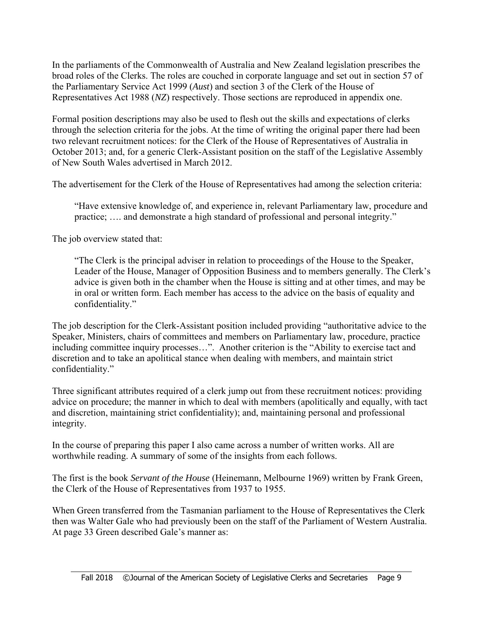In the parliaments of the Commonwealth of Australia and New Zealand legislation prescribes the broad roles of the Clerks. The roles are couched in corporate language and set out in section 57 of the Parliamentary Service Act 1999 (*Aust*) and section 3 of the Clerk of the House of Representatives Act 1988 (*NZ*) respectively. Those sections are reproduced in appendix one.

Formal position descriptions may also be used to flesh out the skills and expectations of clerks through the selection criteria for the jobs. At the time of writing the original paper there had been two relevant recruitment notices: for the Clerk of the House of Representatives of Australia in October 2013; and, for a generic Clerk-Assistant position on the staff of the Legislative Assembly of New South Wales advertised in March 2012.

The advertisement for the Clerk of the House of Representatives had among the selection criteria:

 "Have extensive knowledge of, and experience in, relevant Parliamentary law, procedure and practice; …. and demonstrate a high standard of professional and personal integrity."

The job overview stated that:

"The Clerk is the principal adviser in relation to proceedings of the House to the Speaker, Leader of the House, Manager of Opposition Business and to members generally. The Clerk's advice is given both in the chamber when the House is sitting and at other times, and may be in oral or written form. Each member has access to the advice on the basis of equality and confidentiality."

The job description for the Clerk-Assistant position included providing "authoritative advice to the Speaker, Ministers, chairs of committees and members on Parliamentary law, procedure, practice including committee inquiry processes…". Another criterion is the "Ability to exercise tact and discretion and to take an apolitical stance when dealing with members, and maintain strict confidentiality."

Three significant attributes required of a clerk jump out from these recruitment notices: providing advice on procedure; the manner in which to deal with members (apolitically and equally, with tact and discretion, maintaining strict confidentiality); and, maintaining personal and professional integrity.

In the course of preparing this paper I also came across a number of written works. All are worthwhile reading. A summary of some of the insights from each follows.

The first is the book *Servant of the House* (Heinemann, Melbourne 1969) written by Frank Green, the Clerk of the House of Representatives from 1937 to 1955.

When Green transferred from the Tasmanian parliament to the House of Representatives the Clerk then was Walter Gale who had previously been on the staff of the Parliament of Western Australia. At page 33 Green described Gale's manner as: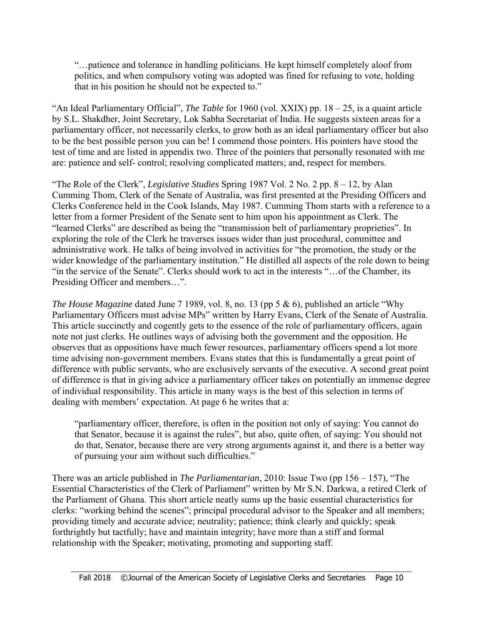"…patience and tolerance in handling politicians. He kept himself completely aloof from politics, and when compulsory voting was adopted was fined for refusing to vote, holding that in his position he should not be expected to."

"An Ideal Parliamentary Official", *The Table* for 1960 (vol. XXIX) pp. 18 – 25, is a quaint article by S.L. Shakdher, Joint Secretary, Lok Sabha Secretariat of India. He suggests sixteen areas for a parliamentary officer, not necessarily clerks, to grow both as an ideal parliamentary officer but also to be the best possible person you can be! I commend those pointers. His pointers have stood the test of time and are listed in appendix two. Three of the pointers that personally resonated with me are: patience and self- control; resolving complicated matters; and, respect for members.

"The Role of the Clerk", *Legislative Studies* Spring 1987 Vol. 2 No. 2 pp. 8 – 12, by Alan Cumming Thom, Clerk of the Senate of Australia, was first presented at the Presiding Officers and Clerks Conference held in the Cook Islands, May 1987. Cumming Thom starts with a reference to a letter from a former President of the Senate sent to him upon his appointment as Clerk. The "learned Clerks" are described as being the "transmission belt of parliamentary proprieties". In exploring the role of the Clerk he traverses issues wider than just procedural, committee and administrative work. He talks of being involved in activities for "the promotion, the study or the wider knowledge of the parliamentary institution." He distilled all aspects of the role down to being "in the service of the Senate". Clerks should work to act in the interests "…of the Chamber, its Presiding Officer and members…".

*The House Magazine* dated June 7 1989, vol. 8, no. 13 (pp 5 & 6), published an article "Why Parliamentary Officers must advise MPs" written by Harry Evans, Clerk of the Senate of Australia. This article succinctly and cogently gets to the essence of the role of parliamentary officers, again note not just clerks. He outlines ways of advising both the government and the opposition. He observes that as oppositions have much fewer resources, parliamentary officers spend a lot more time advising non-government members. Evans states that this is fundamentally a great point of difference with public servants, who are exclusively servants of the executive. A second great point of difference is that in giving advice a parliamentary officer takes on potentially an immense degree of individual responsibility. This article in many ways is the best of this selection in terms of dealing with members' expectation. At page 6 he writes that a:

"parliamentary officer, therefore, is often in the position not only of saying: You cannot do that Senator, because it is against the rules", but also, quite often, of saying: You should not do that, Senator, because there are very strong arguments against it, and there is a better way of pursuing your aim without such difficulties."

There was an article published in *The Parliamentarian*, 2010: Issue Two (pp 156 – 157), "The Essential Characteristics of the Clerk of Parliament" written by Mr S.N. Darkwa, a retired Clerk of the Parliament of Ghana. This short article neatly sums up the basic essential characteristics for clerks: "working behind the scenes"; principal procedural advisor to the Speaker and all members; providing timely and accurate advice; neutrality; patience; think clearly and quickly; speak forthrightly but tactfully; have and maintain integrity; have more than a stiff and formal relationship with the Speaker; motivating, promoting and supporting staff.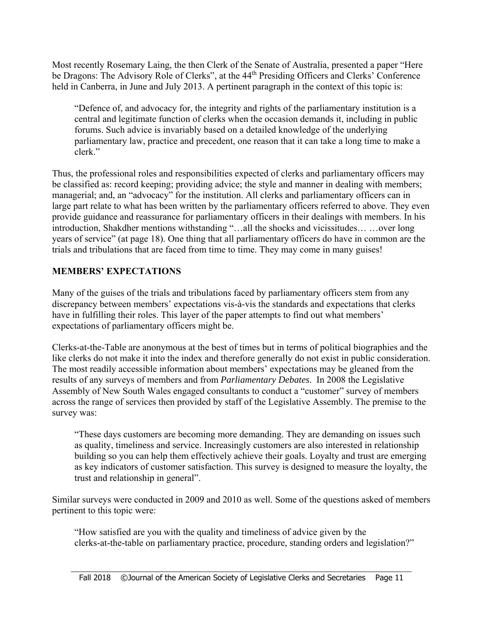Most recently Rosemary Laing, the then Clerk of the Senate of Australia, presented a paper "Here be Dragons: The Advisory Role of Clerks", at the 44<sup>th</sup> Presiding Officers and Clerks' Conference held in Canberra, in June and July 2013. A pertinent paragraph in the context of this topic is:

"Defence of, and advocacy for, the integrity and rights of the parliamentary institution is a central and legitimate function of clerks when the occasion demands it, including in public forums. Such advice is invariably based on a detailed knowledge of the underlying parliamentary law, practice and precedent, one reason that it can take a long time to make a clerk."

Thus, the professional roles and responsibilities expected of clerks and parliamentary officers may be classified as: record keeping; providing advice; the style and manner in dealing with members; managerial; and, an "advocacy" for the institution. All clerks and parliamentary officers can in large part relate to what has been written by the parliamentary officers referred to above. They even provide guidance and reassurance for parliamentary officers in their dealings with members. In his introduction, Shakdher mentions withstanding "…all the shocks and vicissitudes… …over long years of service" (at page 18). One thing that all parliamentary officers do have in common are the trials and tribulations that are faced from time to time. They may come in many guises!

#### **MEMBERS' EXPECTATIONS**

Many of the guises of the trials and tribulations faced by parliamentary officers stem from any discrepancy between members' expectations vis-à-vis the standards and expectations that clerks have in fulfilling their roles. This layer of the paper attempts to find out what members' expectations of parliamentary officers might be.

Clerks-at-the-Table are anonymous at the best of times but in terms of political biographies and the like clerks do not make it into the index and therefore generally do not exist in public consideration. The most readily accessible information about members' expectations may be gleaned from the results of any surveys of members and from *Parliamentary Debates*. In 2008 the Legislative Assembly of New South Wales engaged consultants to conduct a "customer" survey of members across the range of services then provided by staff of the Legislative Assembly. The premise to the survey was:

"These days customers are becoming more demanding. They are demanding on issues such as quality, timeliness and service. Increasingly customers are also interested in relationship building so you can help them effectively achieve their goals. Loyalty and trust are emerging as key indicators of customer satisfaction. This survey is designed to measure the loyalty, the trust and relationship in general".

Similar surveys were conducted in 2009 and 2010 as well. Some of the questions asked of members pertinent to this topic were:

"How satisfied are you with the quality and timeliness of advice given by the clerks-at-the-table on parliamentary practice, procedure, standing orders and legislation?"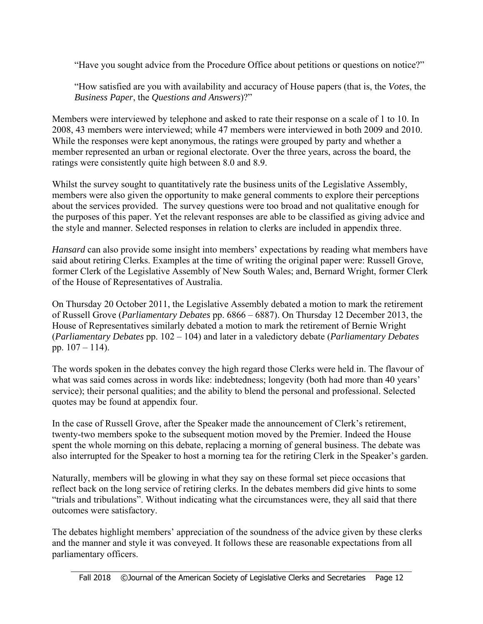"Have you sought advice from the Procedure Office about petitions or questions on notice?"

"How satisfied are you with availability and accuracy of House papers (that is, the *Votes*, the *Business Paper*, the *Questions and Answers*)?"

Members were interviewed by telephone and asked to rate their response on a scale of 1 to 10. In 2008, 43 members were interviewed; while 47 members were interviewed in both 2009 and 2010. While the responses were kept anonymous, the ratings were grouped by party and whether a member represented an urban or regional electorate. Over the three years, across the board, the ratings were consistently quite high between 8.0 and 8.9.

Whilst the survey sought to quantitatively rate the business units of the Legislative Assembly, members were also given the opportunity to make general comments to explore their perceptions about the services provided. The survey questions were too broad and not qualitative enough for the purposes of this paper. Yet the relevant responses are able to be classified as giving advice and the style and manner. Selected responses in relation to clerks are included in appendix three.

*Hansard* can also provide some insight into members' expectations by reading what members have said about retiring Clerks. Examples at the time of writing the original paper were: Russell Grove, former Clerk of the Legislative Assembly of New South Wales; and, Bernard Wright, former Clerk of the House of Representatives of Australia.

On Thursday 20 October 2011, the Legislative Assembly debated a motion to mark the retirement of Russell Grove (*Parliamentary Debates* pp. 6866 – 6887). On Thursday 12 December 2013, the House of Representatives similarly debated a motion to mark the retirement of Bernie Wright (*Parliamentary Debates* pp. 102 – 104) and later in a valedictory debate (*Parliamentary Debates* pp. 107 – 114).

The words spoken in the debates convey the high regard those Clerks were held in. The flavour of what was said comes across in words like: indebtedness; longevity (both had more than 40 years' service); their personal qualities; and the ability to blend the personal and professional. Selected quotes may be found at appendix four.

In the case of Russell Grove, after the Speaker made the announcement of Clerk's retirement, twenty-two members spoke to the subsequent motion moved by the Premier. Indeed the House spent the whole morning on this debate, replacing a morning of general business. The debate was also interrupted for the Speaker to host a morning tea for the retiring Clerk in the Speaker's garden.

Naturally, members will be glowing in what they say on these formal set piece occasions that reflect back on the long service of retiring clerks. In the debates members did give hints to some "trials and tribulations". Without indicating what the circumstances were, they all said that there outcomes were satisfactory.

The debates highlight members' appreciation of the soundness of the advice given by these clerks and the manner and style it was conveyed. It follows these are reasonable expectations from all parliamentary officers.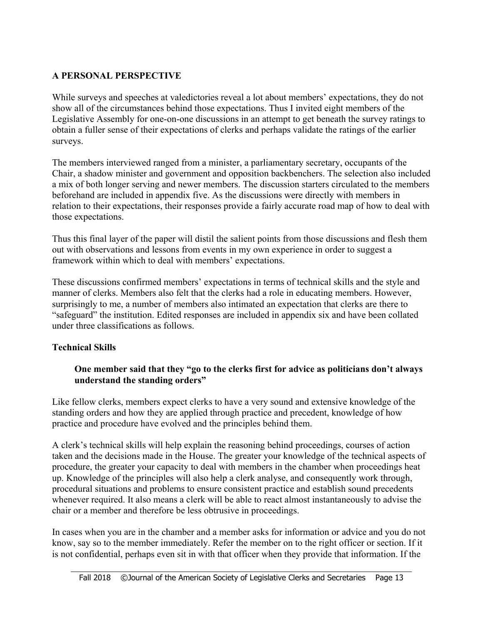# **A PERSONAL PERSPECTIVE**

While surveys and speeches at valedictories reveal a lot about members' expectations, they do not show all of the circumstances behind those expectations. Thus I invited eight members of the Legislative Assembly for one-on-one discussions in an attempt to get beneath the survey ratings to obtain a fuller sense of their expectations of clerks and perhaps validate the ratings of the earlier surveys.

The members interviewed ranged from a minister, a parliamentary secretary, occupants of the Chair, a shadow minister and government and opposition backbenchers. The selection also included a mix of both longer serving and newer members. The discussion starters circulated to the members beforehand are included in appendix five. As the discussions were directly with members in relation to their expectations, their responses provide a fairly accurate road map of how to deal with those expectations.

Thus this final layer of the paper will distil the salient points from those discussions and flesh them out with observations and lessons from events in my own experience in order to suggest a framework within which to deal with members' expectations.

These discussions confirmed members' expectations in terms of technical skills and the style and manner of clerks. Members also felt that the clerks had a role in educating members. However, surprisingly to me, a number of members also intimated an expectation that clerks are there to "safeguard" the institution. Edited responses are included in appendix six and have been collated under three classifications as follows.

# **Technical Skills**

# **One member said that they "go to the clerks first for advice as politicians don't always understand the standing orders"**

Like fellow clerks, members expect clerks to have a very sound and extensive knowledge of the standing orders and how they are applied through practice and precedent, knowledge of how practice and procedure have evolved and the principles behind them.

A clerk's technical skills will help explain the reasoning behind proceedings, courses of action taken and the decisions made in the House. The greater your knowledge of the technical aspects of procedure, the greater your capacity to deal with members in the chamber when proceedings heat up. Knowledge of the principles will also help a clerk analyse, and consequently work through, procedural situations and problems to ensure consistent practice and establish sound precedents whenever required. It also means a clerk will be able to react almost instantaneously to advise the chair or a member and therefore be less obtrusive in proceedings.

In cases when you are in the chamber and a member asks for information or advice and you do not know, say so to the member immediately. Refer the member on to the right officer or section. If it is not confidential, perhaps even sit in with that officer when they provide that information. If the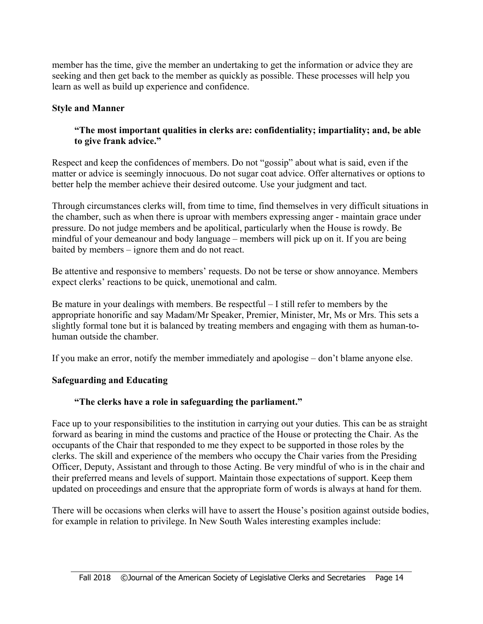member has the time, give the member an undertaking to get the information or advice they are seeking and then get back to the member as quickly as possible. These processes will help you learn as well as build up experience and confidence.

#### **Style and Manner**

#### **"The most important qualities in clerks are: confidentiality; impartiality; and, be able to give frank advice."**

Respect and keep the confidences of members. Do not "gossip" about what is said, even if the matter or advice is seemingly innocuous. Do not sugar coat advice. Offer alternatives or options to better help the member achieve their desired outcome. Use your judgment and tact.

Through circumstances clerks will, from time to time, find themselves in very difficult situations in the chamber, such as when there is uproar with members expressing anger - maintain grace under pressure. Do not judge members and be apolitical, particularly when the House is rowdy. Be mindful of your demeanour and body language – members will pick up on it. If you are being baited by members – ignore them and do not react.

Be attentive and responsive to members' requests. Do not be terse or show annoyance. Members expect clerks' reactions to be quick, unemotional and calm.

Be mature in your dealings with members. Be respectful – I still refer to members by the appropriate honorific and say Madam/Mr Speaker, Premier, Minister, Mr, Ms or Mrs. This sets a slightly formal tone but it is balanced by treating members and engaging with them as human-tohuman outside the chamber.

If you make an error, notify the member immediately and apologise – don't blame anyone else.

# **Safeguarding and Educating**

# **"The clerks have a role in safeguarding the parliament."**

Face up to your responsibilities to the institution in carrying out your duties. This can be as straight forward as bearing in mind the customs and practice of the House or protecting the Chair. As the occupants of the Chair that responded to me they expect to be supported in those roles by the clerks. The skill and experience of the members who occupy the Chair varies from the Presiding Officer, Deputy, Assistant and through to those Acting. Be very mindful of who is in the chair and their preferred means and levels of support. Maintain those expectations of support. Keep them updated on proceedings and ensure that the appropriate form of words is always at hand for them.

There will be occasions when clerks will have to assert the House's position against outside bodies, for example in relation to privilege. In New South Wales interesting examples include: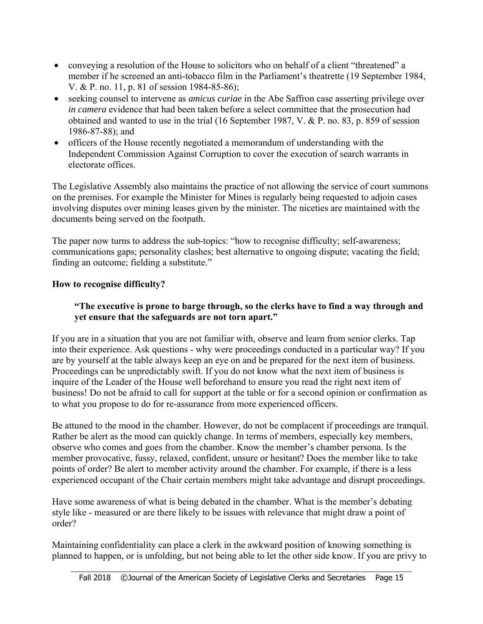- conveying a resolution of the House to solicitors who on behalf of a client "threatened" a member if he screened an anti-tobacco film in the Parliament's theatrette (19 September 1984, V. & P. no. 11, p. 81 of session 1984-85-86);
- seeking counsel to intervene as *amicus curiae* in the Abe Saffron case asserting privilege over *in camera* evidence that had been taken before a select committee that the prosecution had obtained and wanted to use in the trial (16 September 1987, V. & P. no. 83, p. 859 of session 1986-87-88); and
- officers of the House recently negotiated a memorandum of understanding with the Independent Commission Against Corruption to cover the execution of search warrants in electorate offices.

The Legislative Assembly also maintains the practice of not allowing the service of court summons on the premises. For example the Minister for Mines is regularly being requested to adjoin cases involving disputes over mining leases given by the minister. The niceties are maintained with the documents being served on the footpath.

The paper now turns to address the sub-topics: "how to recognise difficulty; self-awareness; communications gaps; personality clashes; best alternative to ongoing dispute; vacating the field; finding an outcome; fielding a substitute."

# **How to recognise difficulty?**

# **"The executive is prone to barge through, so the clerks have to find a way through and yet ensure that the safeguards are not torn apart."**

If you are in a situation that you are not familiar with, observe and learn from senior clerks. Tap into their experience. Ask questions - why were proceedings conducted in a particular way? If you are by yourself at the table always keep an eye on and be prepared for the next item of business. Proceedings can be unpredictably swift. If you do not know what the next item of business is inquire of the Leader of the House well beforehand to ensure you read the right next item of business! Do not be afraid to call for support at the table or for a second opinion or confirmation as to what you propose to do for re-assurance from more experienced officers.

Be attuned to the mood in the chamber. However, do not be complacent if proceedings are tranquil. Rather be alert as the mood can quickly change. In terms of members, especially key members, observe who comes and goes from the chamber. Know the member's chamber persona. Is the member provocative, fussy, relaxed, confident, unsure or hesitant? Does the member like to take points of order? Be alert to member activity around the chamber. For example, if there is a less experienced occupant of the Chair certain members might take advantage and disrupt proceedings.

Have some awareness of what is being debated in the chamber. What is the member's debating style like - measured or are there likely to be issues with relevance that might draw a point of order?

Maintaining confidentiality can place a clerk in the awkward position of knowing something is planned to happen, or is unfolding, but not being able to let the other side know. If you are privy to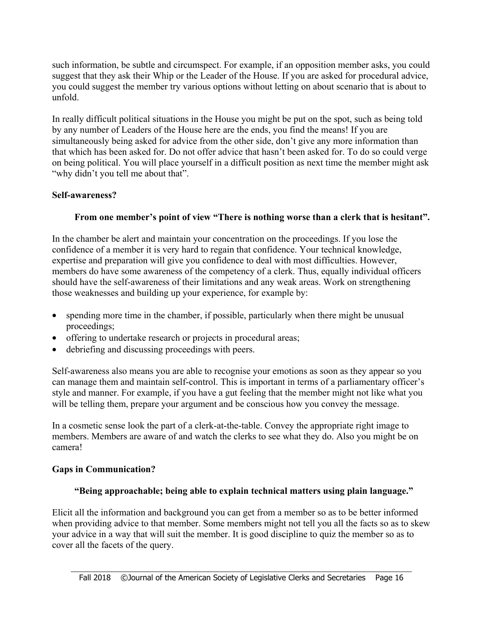such information, be subtle and circumspect. For example, if an opposition member asks, you could suggest that they ask their Whip or the Leader of the House. If you are asked for procedural advice, you could suggest the member try various options without letting on about scenario that is about to unfold.

In really difficult political situations in the House you might be put on the spot, such as being told by any number of Leaders of the House here are the ends, you find the means! If you are simultaneously being asked for advice from the other side, don't give any more information than that which has been asked for. Do not offer advice that hasn't been asked for. To do so could verge on being political. You will place yourself in a difficult position as next time the member might ask "why didn't you tell me about that".

#### **Self-awareness?**

#### **From one member's point of view "There is nothing worse than a clerk that is hesitant".**

In the chamber be alert and maintain your concentration on the proceedings. If you lose the confidence of a member it is very hard to regain that confidence. Your technical knowledge, expertise and preparation will give you confidence to deal with most difficulties. However, members do have some awareness of the competency of a clerk. Thus, equally individual officers should have the self-awareness of their limitations and any weak areas. Work on strengthening those weaknesses and building up your experience, for example by:

- spending more time in the chamber, if possible, particularly when there might be unusual proceedings;
- offering to undertake research or projects in procedural areas;
- debriefing and discussing proceedings with peers.

Self-awareness also means you are able to recognise your emotions as soon as they appear so you can manage them and maintain self-control. This is important in terms of a parliamentary officer's style and manner. For example, if you have a gut feeling that the member might not like what you will be telling them, prepare your argument and be conscious how you convey the message.

In a cosmetic sense look the part of a clerk-at-the-table. Convey the appropriate right image to members. Members are aware of and watch the clerks to see what they do. Also you might be on camera!

#### **Gaps in Communication?**

#### **"Being approachable; being able to explain technical matters using plain language."**

Elicit all the information and background you can get from a member so as to be better informed when providing advice to that member. Some members might not tell you all the facts so as to skew your advice in a way that will suit the member. It is good discipline to quiz the member so as to cover all the facets of the query.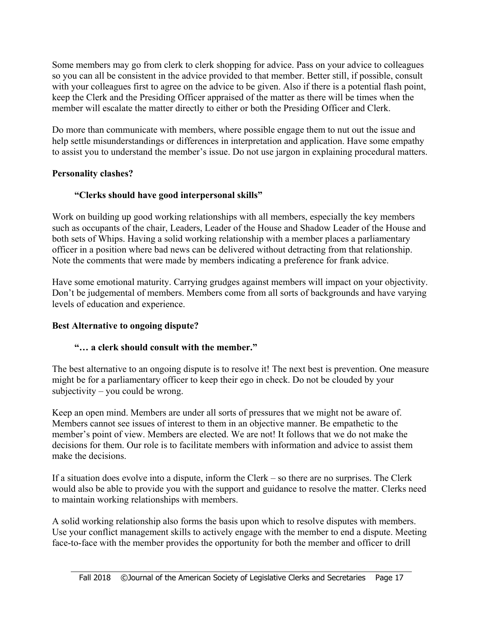Some members may go from clerk to clerk shopping for advice. Pass on your advice to colleagues so you can all be consistent in the advice provided to that member. Better still, if possible, consult with your colleagues first to agree on the advice to be given. Also if there is a potential flash point, keep the Clerk and the Presiding Officer appraised of the matter as there will be times when the member will escalate the matter directly to either or both the Presiding Officer and Clerk.

Do more than communicate with members, where possible engage them to nut out the issue and help settle misunderstandings or differences in interpretation and application. Have some empathy to assist you to understand the member's issue. Do not use jargon in explaining procedural matters.

#### **Personality clashes?**

# **"Clerks should have good interpersonal skills"**

Work on building up good working relationships with all members, especially the key members such as occupants of the chair, Leaders, Leader of the House and Shadow Leader of the House and both sets of Whips. Having a solid working relationship with a member places a parliamentary officer in a position where bad news can be delivered without detracting from that relationship. Note the comments that were made by members indicating a preference for frank advice.

Have some emotional maturity. Carrying grudges against members will impact on your objectivity. Don't be judgemental of members. Members come from all sorts of backgrounds and have varying levels of education and experience.

# **Best Alternative to ongoing dispute?**

# **"… a clerk should consult with the member."**

The best alternative to an ongoing dispute is to resolve it! The next best is prevention. One measure might be for a parliamentary officer to keep their ego in check. Do not be clouded by your subjectivity – you could be wrong.

Keep an open mind. Members are under all sorts of pressures that we might not be aware of. Members cannot see issues of interest to them in an objective manner. Be empathetic to the member's point of view. Members are elected. We are not! It follows that we do not make the decisions for them. Our role is to facilitate members with information and advice to assist them make the decisions.

If a situation does evolve into a dispute, inform the Clerk – so there are no surprises. The Clerk would also be able to provide you with the support and guidance to resolve the matter. Clerks need to maintain working relationships with members.

A solid working relationship also forms the basis upon which to resolve disputes with members. Use your conflict management skills to actively engage with the member to end a dispute. Meeting face-to-face with the member provides the opportunity for both the member and officer to drill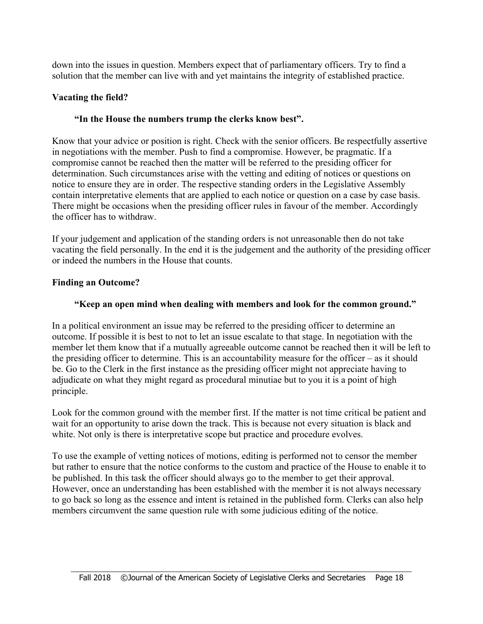down into the issues in question. Members expect that of parliamentary officers. Try to find a solution that the member can live with and yet maintains the integrity of established practice.

#### **Vacating the field?**

#### **"In the House the numbers trump the clerks know best".**

Know that your advice or position is right. Check with the senior officers. Be respectfully assertive in negotiations with the member. Push to find a compromise. However, be pragmatic. If a compromise cannot be reached then the matter will be referred to the presiding officer for determination. Such circumstances arise with the vetting and editing of notices or questions on notice to ensure they are in order. The respective standing orders in the Legislative Assembly contain interpretative elements that are applied to each notice or question on a case by case basis. There might be occasions when the presiding officer rules in favour of the member. Accordingly the officer has to withdraw.

If your judgement and application of the standing orders is not unreasonable then do not take vacating the field personally. In the end it is the judgement and the authority of the presiding officer or indeed the numbers in the House that counts.

#### **Finding an Outcome?**

#### **"Keep an open mind when dealing with members and look for the common ground."**

In a political environment an issue may be referred to the presiding officer to determine an outcome. If possible it is best to not to let an issue escalate to that stage. In negotiation with the member let them know that if a mutually agreeable outcome cannot be reached then it will be left to the presiding officer to determine. This is an accountability measure for the officer – as it should be. Go to the Clerk in the first instance as the presiding officer might not appreciate having to adjudicate on what they might regard as procedural minutiae but to you it is a point of high principle.

Look for the common ground with the member first. If the matter is not time critical be patient and wait for an opportunity to arise down the track. This is because not every situation is black and white. Not only is there is interpretative scope but practice and procedure evolves.

To use the example of vetting notices of motions, editing is performed not to censor the member but rather to ensure that the notice conforms to the custom and practice of the House to enable it to be published. In this task the officer should always go to the member to get their approval. However, once an understanding has been established with the member it is not always necessary to go back so long as the essence and intent is retained in the published form. Clerks can also help members circumvent the same question rule with some judicious editing of the notice.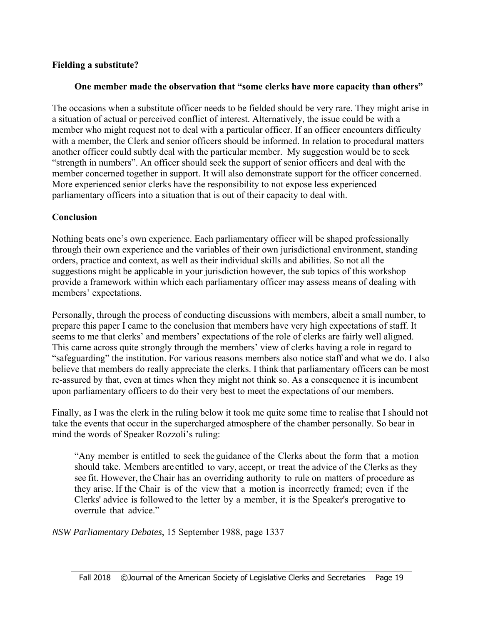# **Fielding a substitute?**

# **One member made the observation that "some clerks have more capacity than others"**

The occasions when a substitute officer needs to be fielded should be very rare. They might arise in a situation of actual or perceived conflict of interest. Alternatively, the issue could be with a member who might request not to deal with a particular officer. If an officer encounters difficulty with a member, the Clerk and senior officers should be informed. In relation to procedural matters another officer could subtly deal with the particular member. My suggestion would be to seek "strength in numbers". An officer should seek the support of senior officers and deal with the member concerned together in support. It will also demonstrate support for the officer concerned. More experienced senior clerks have the responsibility to not expose less experienced parliamentary officers into a situation that is out of their capacity to deal with.

# **Conclusion**

Nothing beats one's own experience. Each parliamentary officer will be shaped professionally through their own experience and the variables of their own jurisdictional environment, standing orders, practice and context, as well as their individual skills and abilities. So not all the suggestions might be applicable in your jurisdiction however, the sub topics of this workshop provide a framework within which each parliamentary officer may assess means of dealing with members' expectations.

Personally, through the process of conducting discussions with members, albeit a small number, to prepare this paper I came to the conclusion that members have very high expectations of staff. It seems to me that clerks' and members' expectations of the role of clerks are fairly well aligned. This came across quite strongly through the members' view of clerks having a role in regard to "safeguarding" the institution. For various reasons members also notice staff and what we do. I also believe that members do really appreciate the clerks. I think that parliamentary officers can be most re-assured by that, even at times when they might not think so. As a consequence it is incumbent upon parliamentary officers to do their very best to meet the expectations of our members.

Finally, as I was the clerk in the ruling below it took me quite some time to realise that I should not take the events that occur in the supercharged atmosphere of the chamber personally. So bear in mind the words of Speaker Rozzoli's ruling:

"Any member is entitled to seek the guidance of the Clerks about the form that a motion should take. Members are entitled to vary, accept, or treat the advice of the Clerks as they see fit. However, the Chair has an overriding authority to rule on matters of procedure as they arise. If the Chair is of the view that a motion is incorrectly framed; even if the Clerks' advice is followed to the letter by a member, it is the Speaker's prerogative to overrule that advice."

*NSW Parliamentary Debates*, 15 September 1988, page 1337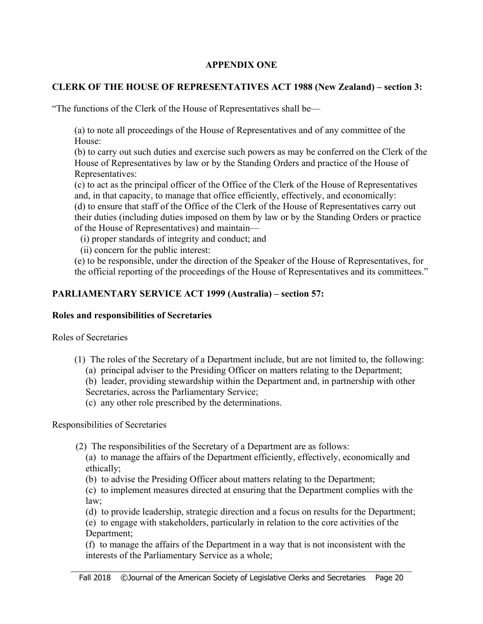#### **APPENDIX ONE**

# **CLERK OF THE HOUSE OF REPRESENTATIVES ACT 1988 (New Zealand) – section 3:**

"The functions of the Clerk of the House of Representatives shall be—

(a) to note all proceedings of the House of Representatives and of any committee of the House:

(b) to carry out such duties and exercise such powers as may be conferred on the Clerk of the House of Representatives by law or by the Standing Orders and practice of the House of Representatives:

(c) to act as the principal officer of the Office of the Clerk of the House of Representatives and, in that capacity, to manage that office efficiently, effectively, and economically: (d) to ensure that staff of the Office of the Clerk of the House of Representatives carry out their duties (including duties imposed on them by law or by the Standing Orders or practice of the House of Representatives) and maintain—

(i) proper standards of integrity and conduct; and

(ii) concern for the public interest:

(e) to be responsible, under the direction of the Speaker of the House of Representatives, for the official reporting of the proceedings of the House of Representatives and its committees."

# **PARLIAMENTARY SERVICE ACT 1999 (Australia) – section 57:**

#### **Roles and responsibilities of Secretaries**

Roles of Secretaries

- (1) The roles of the Secretary of a Department include, but are not limited to, the following:
	- (a) principal adviser to the Presiding Officer on matters relating to the Department;

(b) leader, providing stewardship within the Department and, in partnership with other Secretaries, across the Parliamentary Service;

(c) any other role prescribed by the determinations.

Responsibilities of Secretaries

(2) The responsibilities of the Secretary of a Department are as follows:

(a) to manage the affairs of the Department efficiently, effectively, economically and ethically;

(b) to advise the Presiding Officer about matters relating to the Department;

(c) to implement measures directed at ensuring that the Department complies with the law;

(d) to provide leadership, strategic direction and a focus on results for the Department;

(e) to engage with stakeholders, particularly in relation to the core activities of the Department;

(f) to manage the affairs of the Department in a way that is not inconsistent with the interests of the Parliamentary Service as a whole;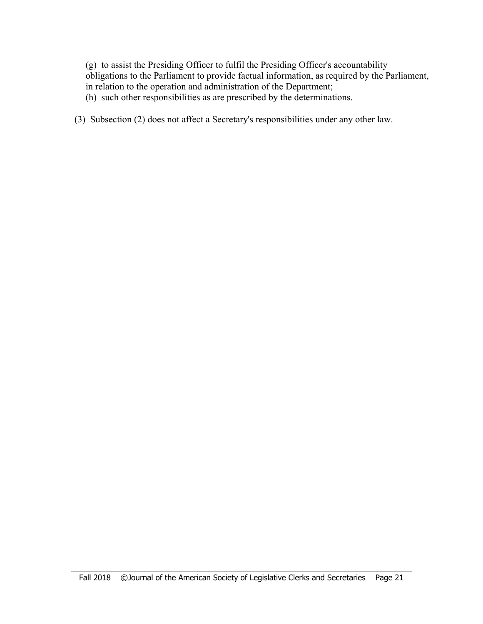(g) to assist the Presiding Officer to fulfil the Presiding Officer's accountability obligations to the Parliament to provide factual information, as required by the Parliament, in relation to the operation and administration of the Department;

- (h) such other responsibilities as are prescribed by the determinations.
- (3) Subsection (2) does not affect a Secretary's responsibilities under any other law.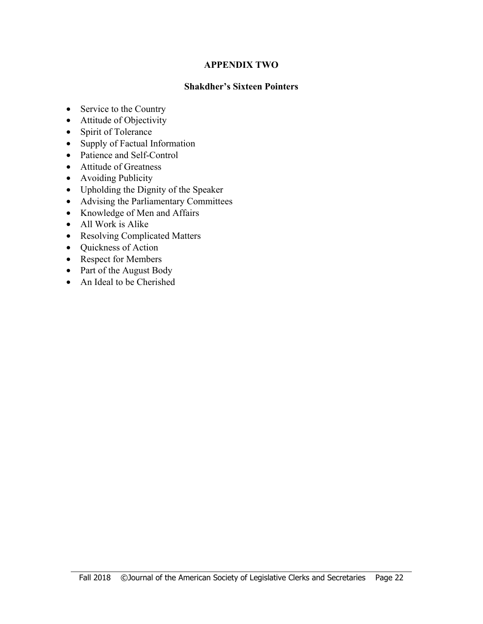#### **APPENDIX TWO**

#### **Shakdher's Sixteen Pointers**

- Service to the Country
- Attitude of Objectivity
- Spirit of Tolerance
- Supply of Factual Information
- Patience and Self-Control
- Attitude of Greatness
- Avoiding Publicity
- Upholding the Dignity of the Speaker
- Advising the Parliamentary Committees
- Knowledge of Men and Affairs
- All Work is Alike

- Resolving Complicated Matters
- Quickness of Action
- Respect for Members
- Part of the August Body
- An Ideal to be Cherished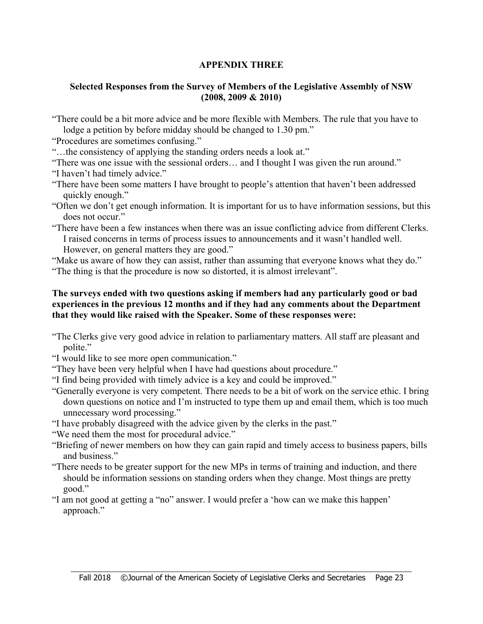# **APPENDIX THREE**

#### **Selected Responses from the Survey of Members of the Legislative Assembly of NSW (2008, 2009 & 2010)**

"There could be a bit more advice and be more flexible with Members. The rule that you have to lodge a petition by before midday should be changed to 1.30 pm."

"Procedures are sometimes confusing."

"…the consistency of applying the standing orders needs a look at."

"There was one issue with the sessional orders… and I thought I was given the run around."

- "I haven't had timely advice."
- "There have been some matters I have brought to people's attention that haven't been addressed quickly enough."

"Often we don't get enough information. It is important for us to have information sessions, but this does not occur."

"There have been a few instances when there was an issue conflicting advice from different Clerks. I raised concerns in terms of process issues to announcements and it wasn't handled well. However, on general matters they are good."

"Make us aware of how they can assist, rather than assuming that everyone knows what they do." "The thing is that the procedure is now so distorted, it is almost irrelevant".

#### **The surveys ended with two questions asking if members had any particularly good or bad experiences in the previous 12 months and if they had any comments about the Department that they would like raised with the Speaker. Some of these responses were:**

- "The Clerks give very good advice in relation to parliamentary matters. All staff are pleasant and polite."
- "I would like to see more open communication."
- "They have been very helpful when I have had questions about procedure."
- "I find being provided with timely advice is a key and could be improved."
- "Generally everyone is very competent. There needs to be a bit of work on the service ethic. I bring down questions on notice and I'm instructed to type them up and email them, which is too much unnecessary word processing."
- "I have probably disagreed with the advice given by the clerks in the past."
- "We need them the most for procedural advice."

- "Briefing of newer members on how they can gain rapid and timely access to business papers, bills and business."
- "There needs to be greater support for the new MPs in terms of training and induction, and there should be information sessions on standing orders when they change. Most things are pretty good."
- "I am not good at getting a "no" answer. I would prefer a 'how can we make this happen' approach."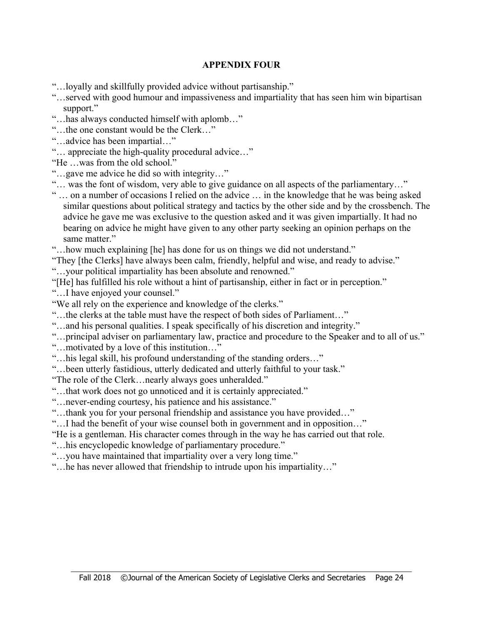# **APPENDIX FOUR**

"…loyally and skillfully provided advice without partisanship."

- "…served with good humour and impassiveness and impartiality that has seen him win bipartisan support."
- "…has always conducted himself with aplomb…"
- "…the one constant would be the Clerk…"
- "…advice has been impartial…"
- "… appreciate the high-quality procedural advice…"
- "He …was from the old school."
- "…gave me advice he did so with integrity…"
- "… was the font of wisdom, very able to give guidance on all aspects of the parliamentary…"
- " … on a number of occasions I relied on the advice … in the knowledge that he was being asked similar questions about political strategy and tactics by the other side and by the crossbench. The advice he gave me was exclusive to the question asked and it was given impartially. It had no bearing on advice he might have given to any other party seeking an opinion perhaps on the same matter."
- "…how much explaining [he] has done for us on things we did not understand."
- "They [the Clerks] have always been calm, friendly, helpful and wise, and ready to advise."
- "…your political impartiality has been absolute and renowned."
- "[He] has fulfilled his role without a hint of partisanship, either in fact or in perception."
- "....I have enjoyed your counsel."

- "We all rely on the experience and knowledge of the clerks."
- "…the clerks at the table must have the respect of both sides of Parliament…"
- "…and his personal qualities. I speak specifically of his discretion and integrity."
- "…principal adviser on parliamentary law, practice and procedure to the Speaker and to all of us."
- "…motivated by a love of this institution…"
- "…his legal skill, his profound understanding of the standing orders…"
- "…been utterly fastidious, utterly dedicated and utterly faithful to your task."
- "The role of the Clerk…nearly always goes unheralded."
- "…that work does not go unnoticed and it is certainly appreciated."
- "…never-ending courtesy, his patience and his assistance."
- "…thank you for your personal friendship and assistance you have provided…"
- "…I had the benefit of your wise counsel both in government and in opposition…"
- "He is a gentleman. His character comes through in the way he has carried out that role.
- "…his encyclopedic knowledge of parliamentary procedure."
- "…you have maintained that impartiality over a very long time."
- "…he has never allowed that friendship to intrude upon his impartiality…"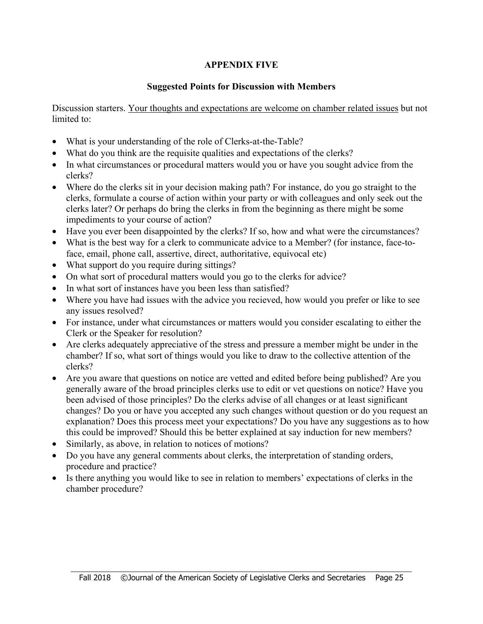# **APPENDIX FIVE**

# **Suggested Points for Discussion with Members**

Discussion starters. Your thoughts and expectations are welcome on chamber related issues but not limited to:

- What is your understanding of the role of Clerks-at-the-Table?
- What do you think are the requisite qualities and expectations of the clerks?
- In what circumstances or procedural matters would you or have you sought advice from the clerks?
- Where do the clerks sit in your decision making path? For instance, do you go straight to the clerks, formulate a course of action within your party or with colleagues and only seek out the clerks later? Or perhaps do bring the clerks in from the beginning as there might be some impediments to your course of action?
- Have you ever been disappointed by the clerks? If so, how and what were the circumstances?
- What is the best way for a clerk to communicate advice to a Member? (for instance, face-toface, email, phone call, assertive, direct, authoritative, equivocal etc)
- What support do you require during sittings?
- On what sort of procedural matters would you go to the clerks for advice?
- In what sort of instances have you been less than satisfied?
- Where you have had issues with the advice you recieved, how would you prefer or like to see any issues resolved?
- For instance, under what circumstances or matters would you consider escalating to either the Clerk or the Speaker for resolution?
- Are clerks adequately appreciative of the stress and pressure a member might be under in the chamber? If so, what sort of things would you like to draw to the collective attention of the clerks?
- Are you aware that questions on notice are vetted and edited before being published? Are you generally aware of the broad principles clerks use to edit or vet questions on notice? Have you been advised of those principles? Do the clerks advise of all changes or at least significant changes? Do you or have you accepted any such changes without question or do you request an explanation? Does this process meet your expectations? Do you have any suggestions as to how this could be improved? Should this be better explained at say induction for new members?
- Similarly, as above, in relation to notices of motions?

- Do you have any general comments about clerks, the interpretation of standing orders, procedure and practice?
- Is there anything you would like to see in relation to members' expectations of clerks in the chamber procedure?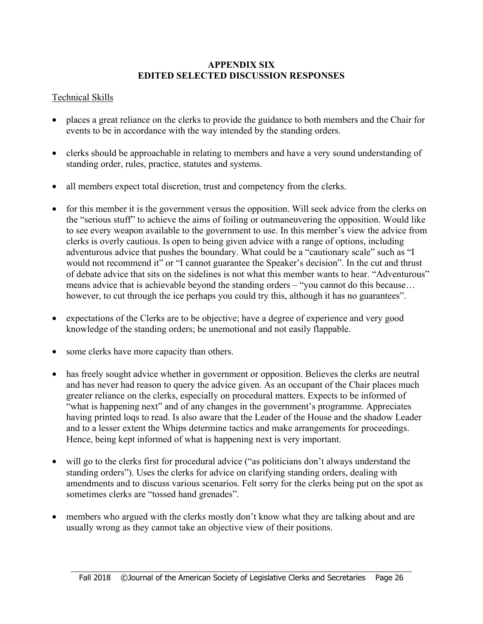#### **APPENDIX SIX EDITED SELECTED DISCUSSION RESPONSES**

# Technical Skills

- places a great reliance on the clerks to provide the guidance to both members and the Chair for events to be in accordance with the way intended by the standing orders.
- clerks should be approachable in relating to members and have a very sound understanding of standing order, rules, practice, statutes and systems.
- all members expect total discretion, trust and competency from the clerks.
- for this member it is the government versus the opposition. Will seek advice from the clerks on the "serious stuff" to achieve the aims of foiling or outmaneuvering the opposition. Would like to see every weapon available to the government to use. In this member's view the advice from clerks is overly cautious. Is open to being given advice with a range of options, including adventurous advice that pushes the boundary. What could be a "cautionary scale" such as "I would not recommend it" or "I cannot guarantee the Speaker's decision". In the cut and thrust of debate advice that sits on the sidelines is not what this member wants to hear. "Adventurous" means advice that is achievable beyond the standing orders – "you cannot do this because… however, to cut through the ice perhaps you could try this, although it has no guarantees".
- expectations of the Clerks are to be objective; have a degree of experience and very good knowledge of the standing orders; be unemotional and not easily flappable.
- some clerks have more capacity than others.
- has freely sought advice whether in government or opposition. Believes the clerks are neutral and has never had reason to query the advice given. As an occupant of the Chair places much greater reliance on the clerks, especially on procedural matters. Expects to be informed of "what is happening next" and of any changes in the government's programme. Appreciates having printed loqs to read. Is also aware that the Leader of the House and the shadow Leader and to a lesser extent the Whips determine tactics and make arrangements for proceedings. Hence, being kept informed of what is happening next is very important.
- will go to the clerks first for procedural advice ("as politicians don't always understand the standing orders"). Uses the clerks for advice on clarifying standing orders, dealing with amendments and to discuss various scenarios. Felt sorry for the clerks being put on the spot as sometimes clerks are "tossed hand grenades".
- members who argued with the clerks mostly don't know what they are talking about and are usually wrong as they cannot take an objective view of their positions.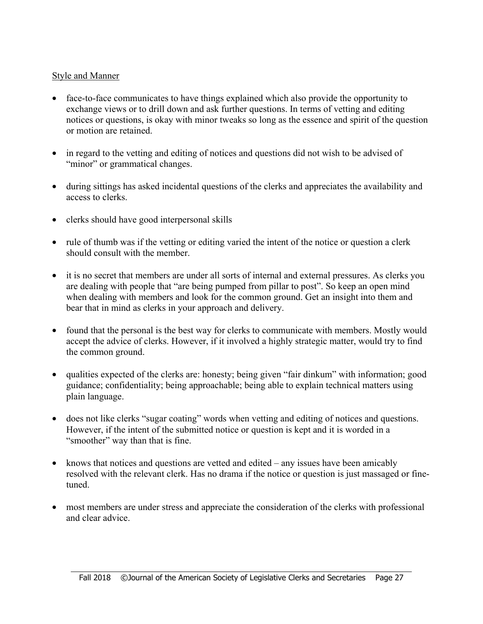# Style and Manner

- face-to-face communicates to have things explained which also provide the opportunity to exchange views or to drill down and ask further questions. In terms of vetting and editing notices or questions, is okay with minor tweaks so long as the essence and spirit of the question or motion are retained.
- in regard to the vetting and editing of notices and questions did not wish to be advised of "minor" or grammatical changes.
- during sittings has asked incidental questions of the clerks and appreciates the availability and access to clerks.
- clerks should have good interpersonal skills
- rule of thumb was if the vetting or editing varied the intent of the notice or question a clerk should consult with the member.
- it is no secret that members are under all sorts of internal and external pressures. As clerks you are dealing with people that "are being pumped from pillar to post". So keep an open mind when dealing with members and look for the common ground. Get an insight into them and bear that in mind as clerks in your approach and delivery.
- found that the personal is the best way for clerks to communicate with members. Mostly would accept the advice of clerks. However, if it involved a highly strategic matter, would try to find the common ground.
- qualities expected of the clerks are: honesty; being given "fair dinkum" with information; good guidance; confidentiality; being approachable; being able to explain technical matters using plain language.
- does not like clerks "sugar coating" words when vetting and editing of notices and questions. However, if the intent of the submitted notice or question is kept and it is worded in a "smoother" way than that is fine.
- knows that notices and questions are vetted and edited any issues have been amicably resolved with the relevant clerk. Has no drama if the notice or question is just massaged or finetuned.
- most members are under stress and appreciate the consideration of the clerks with professional and clear advice.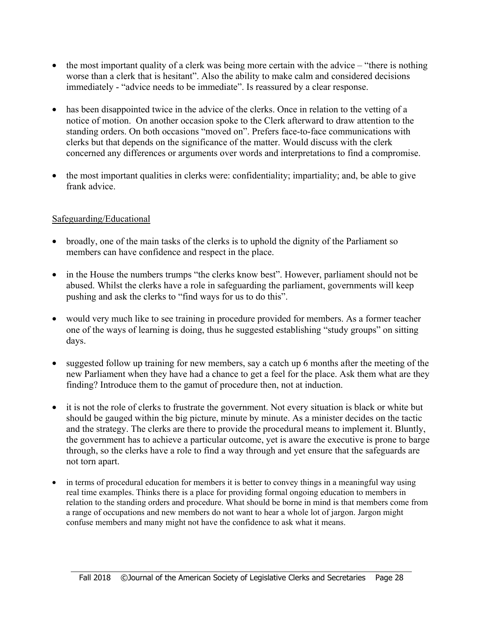- the most important quality of a clerk was being more certain with the advice "there is nothing" worse than a clerk that is hesitant". Also the ability to make calm and considered decisions immediately - "advice needs to be immediate". Is reassured by a clear response.
- has been disappointed twice in the advice of the clerks. Once in relation to the vetting of a notice of motion. On another occasion spoke to the Clerk afterward to draw attention to the standing orders. On both occasions "moved on". Prefers face-to-face communications with clerks but that depends on the significance of the matter. Would discuss with the clerk concerned any differences or arguments over words and interpretations to find a compromise.
- the most important qualities in clerks were: confidentiality; impartiality; and, be able to give frank advice.

#### Safeguarding/Educational

- broadly, one of the main tasks of the clerks is to uphold the dignity of the Parliament so members can have confidence and respect in the place.
- in the House the numbers trumps "the clerks know best". However, parliament should not be abused. Whilst the clerks have a role in safeguarding the parliament, governments will keep pushing and ask the clerks to "find ways for us to do this".
- would very much like to see training in procedure provided for members. As a former teacher one of the ways of learning is doing, thus he suggested establishing "study groups" on sitting days.
- suggested follow up training for new members, say a catch up 6 months after the meeting of the new Parliament when they have had a chance to get a feel for the place. Ask them what are they finding? Introduce them to the gamut of procedure then, not at induction.
- it is not the role of clerks to frustrate the government. Not every situation is black or white but should be gauged within the big picture, minute by minute. As a minister decides on the tactic and the strategy. The clerks are there to provide the procedural means to implement it. Bluntly, the government has to achieve a particular outcome, yet is aware the executive is prone to barge through, so the clerks have a role to find a way through and yet ensure that the safeguards are not torn apart.
- in terms of procedural education for members it is better to convey things in a meaningful way using real time examples. Thinks there is a place for providing formal ongoing education to members in relation to the standing orders and procedure. What should be borne in mind is that members come from a range of occupations and new members do not want to hear a whole lot of jargon. Jargon might confuse members and many might not have the confidence to ask what it means.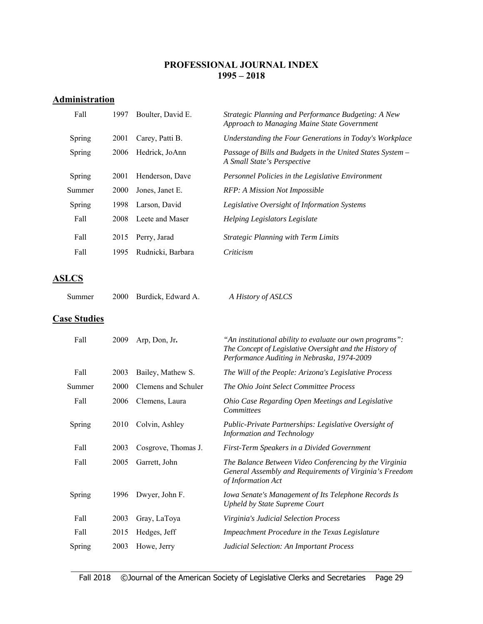#### **PROFESSIONAL JOURNAL INDEX 1995 – 2018**

# **Administration**

| Fall   | 1997        | Boulter, David E. | Strategic Planning and Performance Budgeting: A New<br>Approach to Managing Maine State Government |
|--------|-------------|-------------------|----------------------------------------------------------------------------------------------------|
| Spring | 2001        | Carey, Patti B.   | Understanding the Four Generations in Today's Workplace                                            |
| Spring | 2006        | Hedrick, JoAnn    | Passage of Bills and Budgets in the United States System –<br>A Small State's Perspective          |
| Spring | 2001        | Henderson, Dave   | Personnel Policies in the Legislative Environment                                                  |
| Summer | <b>2000</b> | Jones, Janet E.   | RFP: A Mission Not Impossible                                                                      |
| Spring | 1998        | Larson, David     | Legislative Oversight of Information Systems                                                       |
| Fall   | 2008        | Leete and Maser   | Helping Legislators Legislate                                                                      |
| Fall   | 2015        | Perry, Jarad      | <b>Strategic Planning with Term Limits</b>                                                         |
| Fall   | 1995        | Rudnicki, Barbara | Criticism                                                                                          |

# **ASLCS**

| 2000 Burdick, Edward A.<br>Summer | A History of ASLCS |
|-----------------------------------|--------------------|
|-----------------------------------|--------------------|

# **Case Studies**

| Fall   | 2009 | Arp, Don, Jr.       | "An institutional ability to evaluate our own programs":<br>The Concept of Legislative Oversight and the History of<br>Performance Auditing in Nebraska, 1974-2009 |
|--------|------|---------------------|--------------------------------------------------------------------------------------------------------------------------------------------------------------------|
| Fall   | 2003 | Bailey, Mathew S.   | The Will of the People: Arizona's Legislative Process                                                                                                              |
| Summer | 2000 | Clemens and Schuler | The Ohio Joint Select Committee Process                                                                                                                            |
| Fall   | 2006 | Clemens, Laura      | Ohio Case Regarding Open Meetings and Legislative<br><b>Committees</b>                                                                                             |
| Spring | 2010 | Colvin, Ashley      | Public-Private Partnerships: Legislative Oversight of<br><b>Information and Technology</b>                                                                         |
| Fall   | 2003 | Cosgrove, Thomas J. | First-Term Speakers in a Divided Government                                                                                                                        |
| Fall   | 2005 | Garrett, John       | The Balance Between Video Conferencing by the Virginia<br>General Assembly and Requirements of Virginia's Freedom<br>of Information Act                            |
| Spring | 1996 | Dwyer, John F.      | Iowa Senate's Management of Its Telephone Records Is<br><b>Upheld by State Supreme Court</b>                                                                       |
| Fall   | 2003 | Gray, LaToya        | Virginia's Judicial Selection Process                                                                                                                              |
| Fall   | 2015 | Hedges, Jeff        | Impeachment Procedure in the Texas Legislature                                                                                                                     |
| Spring | 2003 | Howe, Jerry         | Judicial Selection: An Important Process                                                                                                                           |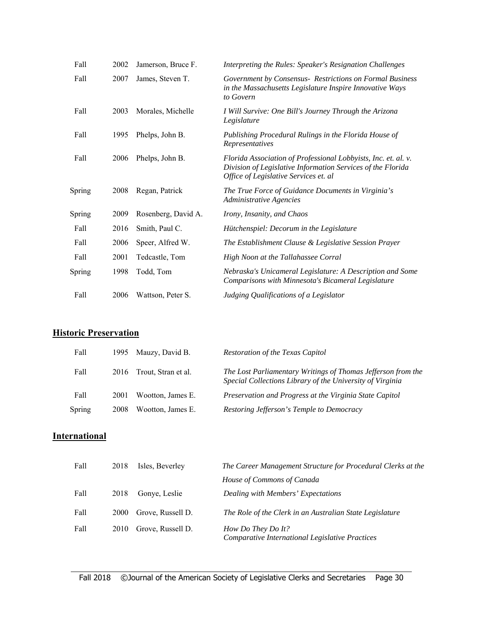| Fall   | 2002 | Jamerson, Bruce F.  | Interpreting the Rules: Speaker's Resignation Challenges                                                                                                               |
|--------|------|---------------------|------------------------------------------------------------------------------------------------------------------------------------------------------------------------|
| Fall   | 2007 | James, Steven T.    | Government by Consensus- Restrictions on Formal Business<br>in the Massachusetts Legislature Inspire Innovative Ways<br>to Govern                                      |
| Fall   | 2003 | Morales, Michelle   | I Will Survive: One Bill's Journey Through the Arizona<br>Legislature                                                                                                  |
| Fall   | 1995 | Phelps, John B.     | Publishing Procedural Rulings in the Florida House of<br>Representatives                                                                                               |
| Fall   | 2006 | Phelps, John B.     | Florida Association of Professional Lobbyists, Inc. et. al. v.<br>Division of Legislative Information Services of the Florida<br>Office of Legislative Services et. al |
| Spring | 2008 | Regan, Patrick      | The True Force of Guidance Documents in Virginia's<br><b>Administrative Agencies</b>                                                                                   |
| Spring | 2009 | Rosenberg, David A. | Irony, Insanity, and Chaos                                                                                                                                             |
| Fall   | 2016 | Smith, Paul C.      | Hütchenspiel: Decorum in the Legislature                                                                                                                               |
| Fall   | 2006 | Speer, Alfred W.    | The Establishment Clause & Legislative Session Prayer                                                                                                                  |
| Fall   | 2001 | Tedcastle, Tom      | High Noon at the Tallahassee Corral                                                                                                                                    |
| Spring | 1998 | Todd, Tom           | Nebraska's Unicameral Legislature: A Description and Some<br>Comparisons with Minnesota's Bicameral Legislature                                                        |
| Fall   | 2006 | Wattson, Peter S.   | Judging Qualifications of a Legislator                                                                                                                                 |

# **Historic Preservation**

| Fall   | 1995 | Mauzy, David B.     | <b>Restoration of the Texas Capitol</b>                                                                                   |
|--------|------|---------------------|---------------------------------------------------------------------------------------------------------------------------|
| Fall   | 2016 | Trout, Stran et al. | The Lost Parliamentary Writings of Thomas Jefferson from the<br>Special Collections Library of the University of Virginia |
| Fall   | 2001 | Wootton, James E.   | Preservation and Progress at the Virginia State Capitol                                                                   |
| Spring | 2008 | Wootton, James E.   | Restoring Jefferson's Temple to Democracy                                                                                 |

# **International**

| Fall | 2018 | Isles, Beverley   | The Career Management Structure for Procedural Clerks at the          |
|------|------|-------------------|-----------------------------------------------------------------------|
|      |      |                   | House of Commons of Canada                                            |
| Fall | 2018 | Gonye, Leslie     | Dealing with Members' Expectations                                    |
| Fall | 2000 | Grove, Russell D. | The Role of the Clerk in an Australian State Legislature              |
| Fall | 2010 | Grove, Russell D. | How Do They Do It?<br>Comparative International Legislative Practices |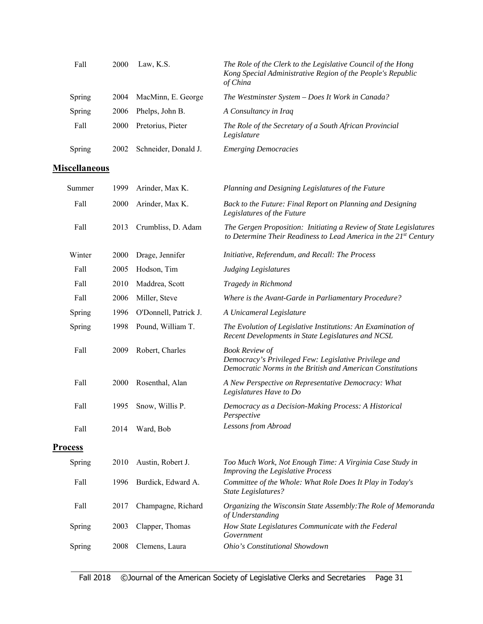| Fall                 | 2000 | Law, K.S.             | The Role of the Clerk to the Legislative Council of the Hong<br>Kong Special Administrative Region of the People's Republic<br>of China      |
|----------------------|------|-----------------------|----------------------------------------------------------------------------------------------------------------------------------------------|
| Spring               | 2004 | MacMinn, E. George    | The Westminster System - Does It Work in Canada?                                                                                             |
| Spring               | 2006 | Phelps, John B.       | A Consultancy in Iraq                                                                                                                        |
| Fall                 | 2000 | Pretorius, Pieter     | The Role of the Secretary of a South African Provincial<br>Legislature                                                                       |
| Spring               | 2002 | Schneider, Donald J.  | <b>Emerging Democracies</b>                                                                                                                  |
| <b>Miscellaneous</b> |      |                       |                                                                                                                                              |
| Summer               | 1999 | Arinder, Max K.       | Planning and Designing Legislatures of the Future                                                                                            |
| Fall                 | 2000 | Arinder, Max K.       | Back to the Future: Final Report on Planning and Designing<br>Legislatures of the Future                                                     |
| Fall                 | 2013 | Crumbliss, D. Adam    | The Gergen Proposition: Initiating a Review of State Legislatures<br>to Determine Their Readiness to Lead America in the 21st Century        |
| Winter               | 2000 | Drage, Jennifer       | Initiative, Referendum, and Recall: The Process                                                                                              |
| Fall                 | 2005 | Hodson, Tim           | <b>Judging Legislatures</b>                                                                                                                  |
| Fall                 | 2010 | Maddrea, Scott        | Tragedy in Richmond                                                                                                                          |
| Fall                 | 2006 | Miller, Steve         | Where is the Avant-Garde in Parliamentary Procedure?                                                                                         |
| Spring               | 1996 | O'Donnell, Patrick J. | A Unicameral Legislature                                                                                                                     |
| Spring               | 1998 | Pound, William T.     | The Evolution of Legislative Institutions: An Examination of<br>Recent Developments in State Legislatures and NCSL                           |
| Fall                 | 2009 | Robert, Charles       | <b>Book Review of</b><br>Democracy's Privileged Few: Legislative Privilege and<br>Democratic Norms in the British and American Constitutions |
| Fall                 | 2000 | Rosenthal, Alan       | A New Perspective on Representative Democracy: What<br>Legislatures Have to Do                                                               |
| Fall                 | 1995 | Snow, Willis P.       | Democracy as a Decision-Making Process: A Historical<br>Perspective                                                                          |
| Fall                 | 2014 | Ward, Bob             | Lessons from Abroad                                                                                                                          |
| <b>Process</b>       |      |                       |                                                                                                                                              |
| Spring               | 2010 | Austin, Robert J.     | Too Much Work, Not Enough Time: A Virginia Case Study in<br>Improving the Legislative Process                                                |
| Fall                 | 1996 | Burdick, Edward A.    | Committee of the Whole: What Role Does It Play in Today's<br><b>State Legislatures?</b>                                                      |
| Fall                 | 2017 | Champagne, Richard    | Organizing the Wisconsin State Assembly: The Role of Memoranda<br>of Understanding                                                           |
| Spring               | 2003 | Clapper, Thomas       | How State Legislatures Communicate with the Federal<br>Government                                                                            |
| Spring               | 2008 | Clemens, Laura        | Ohio's Constitutional Showdown                                                                                                               |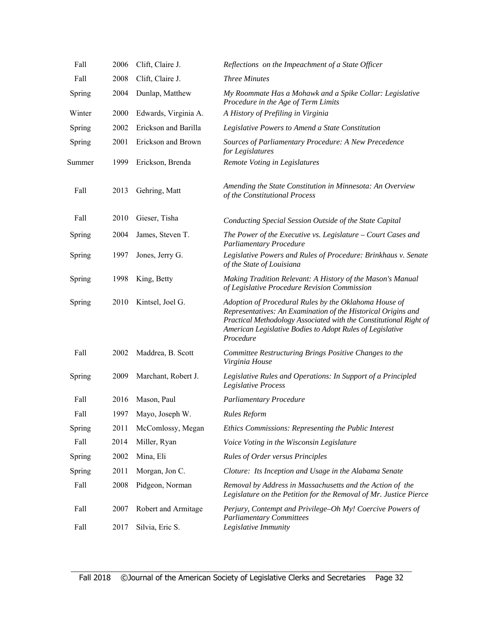| Fall   | 2006 | Clift, Claire J.     | Reflections on the Impeachment of a State Officer                                                                                                                                                                                                                     |
|--------|------|----------------------|-----------------------------------------------------------------------------------------------------------------------------------------------------------------------------------------------------------------------------------------------------------------------|
| Fall   | 2008 | Clift, Claire J.     | <b>Three Minutes</b>                                                                                                                                                                                                                                                  |
| Spring | 2004 | Dunlap, Matthew      | My Roommate Has a Mohawk and a Spike Collar: Legislative<br>Procedure in the Age of Term Limits                                                                                                                                                                       |
| Winter | 2000 | Edwards, Virginia A. | A History of Prefiling in Virginia                                                                                                                                                                                                                                    |
| Spring | 2002 | Erickson and Barilla | Legislative Powers to Amend a State Constitution                                                                                                                                                                                                                      |
| Spring | 2001 | Erickson and Brown   | Sources of Parliamentary Procedure: A New Precedence<br>for Legislatures                                                                                                                                                                                              |
| Summer | 1999 | Erickson, Brenda     | Remote Voting in Legislatures                                                                                                                                                                                                                                         |
| Fall   | 2013 | Gehring, Matt        | Amending the State Constitution in Minnesota: An Overview<br>of the Constitutional Process                                                                                                                                                                            |
| Fall   | 2010 | Gieser, Tisha        | Conducting Special Session Outside of the State Capital                                                                                                                                                                                                               |
| Spring | 2004 | James, Steven T.     | The Power of the Executive vs. Legislature $-$ Court Cases and<br><b>Parliamentary Procedure</b>                                                                                                                                                                      |
| Spring | 1997 | Jones, Jerry G.      | Legislative Powers and Rules of Procedure: Brinkhaus v. Senate<br>of the State of Louisiana                                                                                                                                                                           |
| Spring | 1998 | King, Betty          | Making Tradition Relevant: A History of the Mason's Manual<br>of Legislative Procedure Revision Commission                                                                                                                                                            |
| Spring | 2010 | Kintsel, Joel G.     | Adoption of Procedural Rules by the Oklahoma House of<br>Representatives: An Examination of the Historical Origins and<br>Practical Methodology Associated with the Constitutional Right of<br>American Legislative Bodies to Adopt Rules of Legislative<br>Procedure |
| Fall   | 2002 | Maddrea, B. Scott    | Committee Restructuring Brings Positive Changes to the<br>Virginia House                                                                                                                                                                                              |
| Spring | 2009 | Marchant, Robert J.  | Legislative Rules and Operations: In Support of a Principled<br>Legislative Process                                                                                                                                                                                   |
| Fall   | 2016 | Mason, Paul          | <b>Parliamentary Procedure</b>                                                                                                                                                                                                                                        |
| Fall   |      | 1997 Mayo, Joseph W. | Rules Reform                                                                                                                                                                                                                                                          |
| Spring | 2011 | McComlossy, Megan    | Ethics Commissions: Representing the Public Interest                                                                                                                                                                                                                  |
| Fall   | 2014 | Miller, Ryan         | Voice Voting in the Wisconsin Legislature                                                                                                                                                                                                                             |
| Spring | 2002 | Mina, Eli            | <b>Rules of Order versus Principles</b>                                                                                                                                                                                                                               |
| Spring | 2011 | Morgan, Jon C.       | Cloture: Its Inception and Usage in the Alabama Senate                                                                                                                                                                                                                |
| Fall   | 2008 | Pidgeon, Norman      | Removal by Address in Massachusetts and the Action of the<br>Legislature on the Petition for the Removal of Mr. Justice Pierce                                                                                                                                        |
| Fall   | 2007 | Robert and Armitage  | Perjury, Contempt and Privilege-Oh My! Coercive Powers of<br><b>Parliamentary Committees</b>                                                                                                                                                                          |
| Fall   | 2017 | Silvia, Eric S.      | Legislative Immunity                                                                                                                                                                                                                                                  |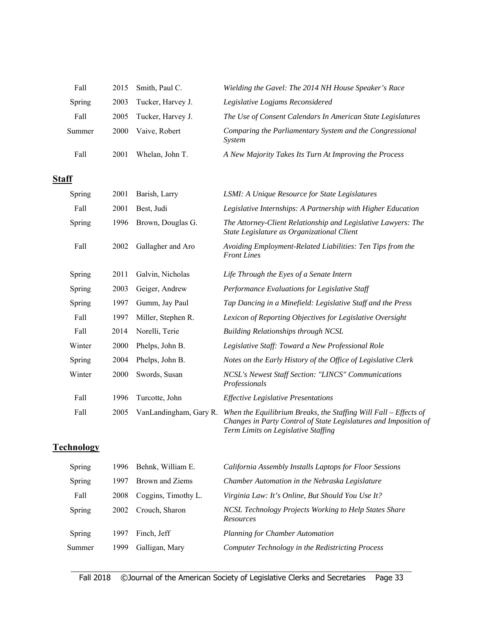| Fall   | 2015 | Smith, Paul C.    | Wielding the Gavel: The 2014 NH House Speaker's Race               |
|--------|------|-------------------|--------------------------------------------------------------------|
| Spring | 2003 | Tucker, Harvey J. | Legislative Logjams Reconsidered                                   |
| Fall   | 2005 | Tucker, Harvey J. | The Use of Consent Calendars In American State Legislatures        |
| Summer | 2000 | Vaive, Robert     | Comparing the Parliamentary System and the Congressional<br>System |
| Fall   | 2001 | Whelan. John T.   | A New Majority Takes Its Turn At Improving the Process             |

# **Staff**

| Spring | 2001 | Barish, Larry          | <b>LSMI: A Unique Resource for State Legislatures</b>                                                                                                                         |
|--------|------|------------------------|-------------------------------------------------------------------------------------------------------------------------------------------------------------------------------|
| Fall   | 2001 | Best, Judi             | Legislative Internships: A Partnership with Higher Education                                                                                                                  |
| Spring | 1996 | Brown, Douglas G.      | The Attorney-Client Relationship and Legislative Lawyers: The<br>State Legislature as Organizational Client                                                                   |
| Fall   | 2002 | Gallagher and Aro      | Avoiding Employment-Related Liabilities: Ten Tips from the<br><b>Front Lines</b>                                                                                              |
| Spring | 2011 | Galvin, Nicholas       | Life Through the Eyes of a Senate Intern                                                                                                                                      |
| Spring | 2003 | Geiger, Andrew         | Performance Evaluations for Legislative Staff                                                                                                                                 |
| Spring | 1997 | Gumm, Jay Paul         | Tap Dancing in a Minefield: Legislative Staff and the Press                                                                                                                   |
| Fall   | 1997 | Miller, Stephen R.     | Lexicon of Reporting Objectives for Legislative Oversight                                                                                                                     |
| Fall   | 2014 | Norelli, Terie         | <b>Building Relationships through NCSL</b>                                                                                                                                    |
| Winter | 2000 | Phelps, John B.        | Legislative Staff: Toward a New Professional Role                                                                                                                             |
| Spring | 2004 | Phelps, John B.        | Notes on the Early History of the Office of Legislative Clerk                                                                                                                 |
| Winter | 2000 | Swords, Susan          | NCSL's Newest Staff Section: "LINCS" Communications<br>Professionals                                                                                                          |
| Fall   | 1996 | Turcotte, John         | <b>Effective Legislative Presentations</b>                                                                                                                                    |
| Fall   | 2005 | VanLandingham, Gary R. | When the Equilibrium Breaks, the Staffing Will Fall $-$ Effects of<br>Changes in Party Control of State Legislatures and Imposition of<br>Term Limits on Legislative Staffing |

# **Technology**

| Spring | 1996 | Behnk, William E.   | California Assembly Installs Laptops for Floor Sessions                   |
|--------|------|---------------------|---------------------------------------------------------------------------|
| Spring | 1997 | Brown and Ziems     | Chamber Automation in the Nebraska Legislature                            |
| Fall   | 2008 | Coggins, Timothy L. | Virginia Law: It's Online, But Should You Use It?                         |
| Spring | 2002 | Crouch, Sharon      | NCSL Technology Projects Working to Help States Share<br><b>Resources</b> |
| Spring | 1997 | Finch, Jeff         | <b>Planning for Chamber Automation</b>                                    |
| Summer | 1999 | Galligan, Mary      | Computer Technology in the Redistricting Process                          |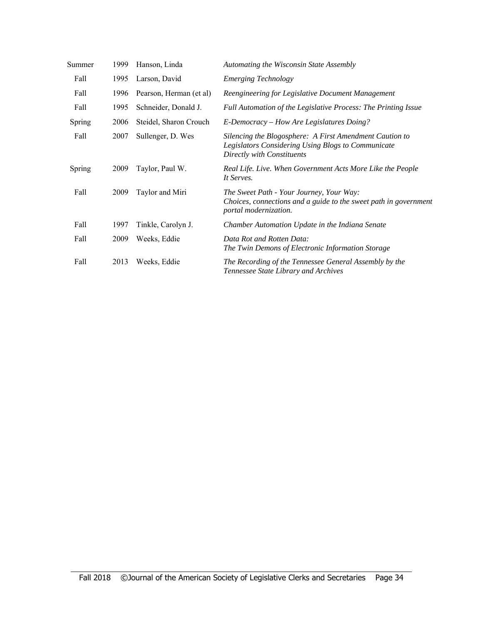| Summer | 1999 | Hanson, Linda           | Automating the Wisconsin State Assembly                                                                                                     |
|--------|------|-------------------------|---------------------------------------------------------------------------------------------------------------------------------------------|
| Fall   | 1995 | Larson, David           | <b>Emerging Technology</b>                                                                                                                  |
| Fall   | 1996 | Pearson, Herman (et al) | Reengineering for Legislative Document Management                                                                                           |
| Fall   | 1995 | Schneider, Donald J.    | Full Automation of the Legislative Process: The Printing Issue                                                                              |
| Spring | 2006 | Steidel, Sharon Crouch  | E-Democracy – How Are Legislatures Doing?                                                                                                   |
| Fall   | 2007 | Sullenger, D. Wes       | Silencing the Blogosphere: A First Amendment Caution to<br>Legislators Considering Using Blogs to Communicate<br>Directly with Constituents |
| Spring | 2009 | Taylor, Paul W.         | Real Life. Live. When Government Acts More Like the People<br>It Serves.                                                                    |
| Fall   | 2009 | Taylor and Miri         | The Sweet Path - Your Journey, Your Way:<br>Choices, connections and a guide to the sweet path in government<br>portal modernization.       |
| Fall   | 1997 | Tinkle, Carolyn J.      | Chamber Automation Update in the Indiana Senate                                                                                             |
| Fall   | 2009 | Weeks, Eddie            | Data Rot and Rotten Data:<br>The Twin Demons of Electronic Information Storage                                                              |
| Fall   | 2013 | Weeks, Eddie            | The Recording of the Tennessee General Assembly by the<br>Tennessee State Library and Archives                                              |